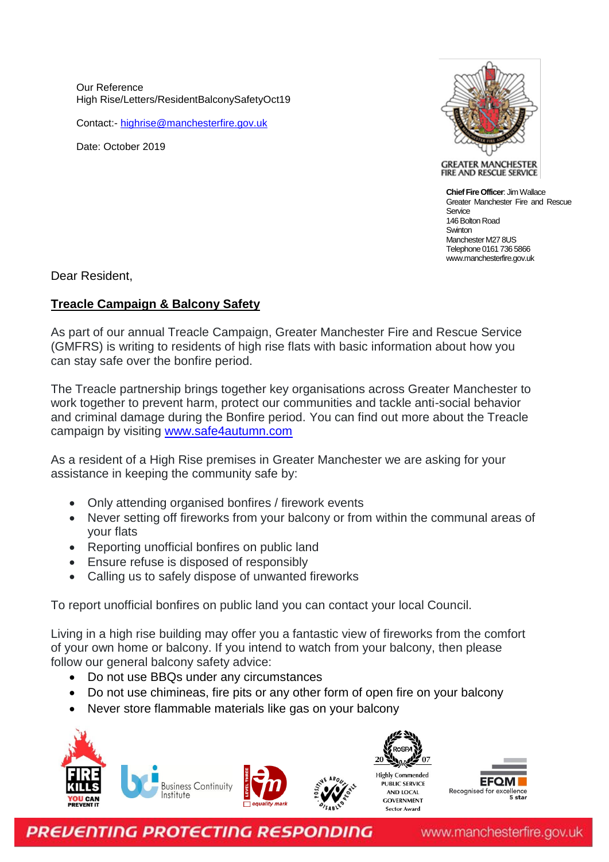Our Reference High Rise/Letters/ResidentBalconySafetyOct19

Contact:- [highrise@manchesterfire.gov.uk](mailto:highrise@manchesterfire.gov.uk)

Date: October 2019



**GREATER MANCHESTER** FIRE AND RESCUE SERVICE

**Chief Fire Officer**: Jim Wallace Greater Manchester Fire and Rescue Sentice 146 Bolton Road **Swinton** Manchester M27 8US Telephone 0161 736 5866 www.manchesterfire.gov.uk

Dear Resident,

## **Treacle Campaign & Balcony Safety**

As part of our annual Treacle Campaign, Greater Manchester Fire and Rescue Service (GMFRS) is writing to residents of high rise flats with basic information about how you can stay safe over the bonfire period.

The Treacle partnership brings together key organisations across Greater Manchester to work together to prevent harm, protect our communities and tackle anti-social behavior and criminal damage during the Bonfire period. You can find out more about the Treacle campaign by visiting [www.safe4autumn.com](http://www.safe4autumn.com/)

As a resident of a High Rise premises in Greater Manchester we are asking for your assistance in keeping the community safe by:

- Only attending organised bonfires / firework events
- Never setting off fireworks from your balcony or from within the communal areas of your flats
- Reporting unofficial bonfires on public land
- Ensure refuse is disposed of responsibly
- Calling us to safely dispose of unwanted fireworks

To report unofficial bonfires on public land you can contact your local Council.

Living in a high rise building may offer you a fantastic view of fireworks from the comfort of your own home or balcony. If you intend to watch from your balcony, then please follow our general balcony safety advice:

- Do not use BBQs under any circumstances
- Do not use chimineas, fire pits or any other form of open fire on your balcony
- Never store flammable materials like gas on your balcony





**PREVENTING PROTECTING RESPONDING** 

www.manchesterfire.gov.uk